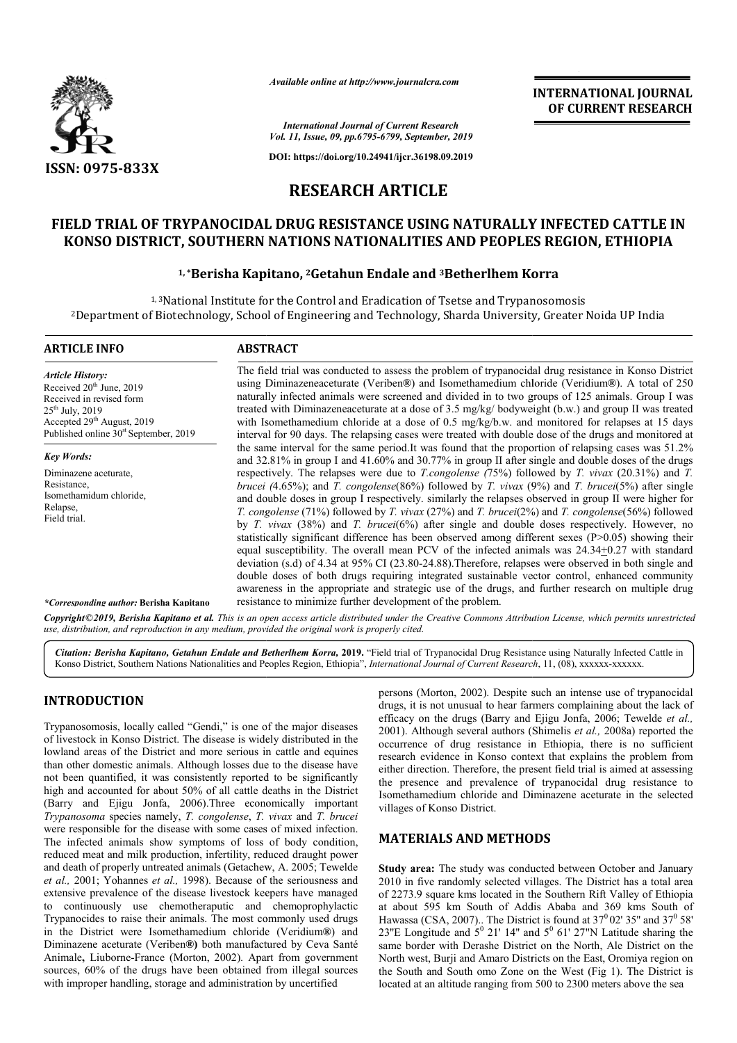

*Available online at http://www.journalcra.com*

## **INTERNATIONAL JOURNAL OF CURRENT RESEARCH**

# **RESEARCH ARTICLE**

# **FIELD TRIAL OF TRYPANOCIDAL DRUG RESISTANCE USING NATURALLY INFECTED CATTLE IN KONSO DISTRICT, SOUTHERN NATIONS NATIONALITIES AND PEOPLES REGION, ETHIOPIA FIELD TRYPANOCIDAL DRUG NATURALLY INFECTED KONSO**

## **1, \*Berisha Kapitano, Berisha 2Getahun Endale and 3Betherlhem Korra Betherlhem**

|                                                                                                                                                                                                                                                                                                                                                                                                                                                                                                                                                                                                                                                                                                                                                                                                                                                | - главноге опине иг пир.// www.journatera.com              | <b>INTERNATIONAL JOURNAL</b><br>OF CURRENT RESEARCH                                                                                                                                                                                                                                                                                                                                                                                                                                                                                                                                                                                                                                        |                                                                                                                                                                                                                                                                                                                                                                                                                                                                                                                                                                                                                                                                                                                                                                                                                                                                                                                                                                                                                                                                                                                                                                                                                                                                                          |  |  |  |  |
|------------------------------------------------------------------------------------------------------------------------------------------------------------------------------------------------------------------------------------------------------------------------------------------------------------------------------------------------------------------------------------------------------------------------------------------------------------------------------------------------------------------------------------------------------------------------------------------------------------------------------------------------------------------------------------------------------------------------------------------------------------------------------------------------------------------------------------------------|------------------------------------------------------------|--------------------------------------------------------------------------------------------------------------------------------------------------------------------------------------------------------------------------------------------------------------------------------------------------------------------------------------------------------------------------------------------------------------------------------------------------------------------------------------------------------------------------------------------------------------------------------------------------------------------------------------------------------------------------------------------|------------------------------------------------------------------------------------------------------------------------------------------------------------------------------------------------------------------------------------------------------------------------------------------------------------------------------------------------------------------------------------------------------------------------------------------------------------------------------------------------------------------------------------------------------------------------------------------------------------------------------------------------------------------------------------------------------------------------------------------------------------------------------------------------------------------------------------------------------------------------------------------------------------------------------------------------------------------------------------------------------------------------------------------------------------------------------------------------------------------------------------------------------------------------------------------------------------------------------------------------------------------------------------------|--|--|--|--|
|                                                                                                                                                                                                                                                                                                                                                                                                                                                                                                                                                                                                                                                                                                                                                                                                                                                |                                                            | <b>International Journal of Current Research</b><br>Vol. 11, Issue, 09, pp.6795-6799, September, 2019                                                                                                                                                                                                                                                                                                                                                                                                                                                                                                                                                                                      |                                                                                                                                                                                                                                                                                                                                                                                                                                                                                                                                                                                                                                                                                                                                                                                                                                                                                                                                                                                                                                                                                                                                                                                                                                                                                          |  |  |  |  |
| <b>ISSN: 0975-833X</b>                                                                                                                                                                                                                                                                                                                                                                                                                                                                                                                                                                                                                                                                                                                                                                                                                         |                                                            | DOI: https://doi.org/10.24941/ijcr.36198.09.2019                                                                                                                                                                                                                                                                                                                                                                                                                                                                                                                                                                                                                                           |                                                                                                                                                                                                                                                                                                                                                                                                                                                                                                                                                                                                                                                                                                                                                                                                                                                                                                                                                                                                                                                                                                                                                                                                                                                                                          |  |  |  |  |
|                                                                                                                                                                                                                                                                                                                                                                                                                                                                                                                                                                                                                                                                                                                                                                                                                                                | <b>RESEARCH ARTICLE</b>                                    |                                                                                                                                                                                                                                                                                                                                                                                                                                                                                                                                                                                                                                                                                            |                                                                                                                                                                                                                                                                                                                                                                                                                                                                                                                                                                                                                                                                                                                                                                                                                                                                                                                                                                                                                                                                                                                                                                                                                                                                                          |  |  |  |  |
| FIELD TRIAL OF TRYPANOCIDAL DRUG RESISTANCE USING NATURALLY INFECTED CATTLE IN<br>KONSO DISTRICT, SOUTHERN NATIONS NATIONALITIES AND PEOPLES REGION, ETHIOPIA                                                                                                                                                                                                                                                                                                                                                                                                                                                                                                                                                                                                                                                                                  |                                                            |                                                                                                                                                                                                                                                                                                                                                                                                                                                                                                                                                                                                                                                                                            |                                                                                                                                                                                                                                                                                                                                                                                                                                                                                                                                                                                                                                                                                                                                                                                                                                                                                                                                                                                                                                                                                                                                                                                                                                                                                          |  |  |  |  |
|                                                                                                                                                                                                                                                                                                                                                                                                                                                                                                                                                                                                                                                                                                                                                                                                                                                |                                                            | <sup>1,*</sup> Berisha Kapitano, <sup>2</sup> Getahun Endale and <sup>3</sup> Betherlhem Korra                                                                                                                                                                                                                                                                                                                                                                                                                                                                                                                                                                                             |                                                                                                                                                                                                                                                                                                                                                                                                                                                                                                                                                                                                                                                                                                                                                                                                                                                                                                                                                                                                                                                                                                                                                                                                                                                                                          |  |  |  |  |
| <sup>2</sup> Department of Biotechnology, School of Engineering and Technology, Sharda University, Greater Noida UP India                                                                                                                                                                                                                                                                                                                                                                                                                                                                                                                                                                                                                                                                                                                      |                                                            | <sup>1,3</sup> National Institute for the Control and Eradication of Tsetse and Trypanosomosis                                                                                                                                                                                                                                                                                                                                                                                                                                                                                                                                                                                             |                                                                                                                                                                                                                                                                                                                                                                                                                                                                                                                                                                                                                                                                                                                                                                                                                                                                                                                                                                                                                                                                                                                                                                                                                                                                                          |  |  |  |  |
| <b>ARTICLE INFO</b>                                                                                                                                                                                                                                                                                                                                                                                                                                                                                                                                                                                                                                                                                                                                                                                                                            | <b>ABSTRACT</b>                                            |                                                                                                                                                                                                                                                                                                                                                                                                                                                                                                                                                                                                                                                                                            |                                                                                                                                                                                                                                                                                                                                                                                                                                                                                                                                                                                                                                                                                                                                                                                                                                                                                                                                                                                                                                                                                                                                                                                                                                                                                          |  |  |  |  |
| <b>Article History:</b><br>Received 20 <sup>th</sup> June, 2019<br>Received in revised form<br>25 <sup>th</sup> July, 2019<br>Accepted 29 <sup>th</sup> August, 2019<br>Published online 30 <sup>st</sup> September, 2019                                                                                                                                                                                                                                                                                                                                                                                                                                                                                                                                                                                                                      |                                                            |                                                                                                                                                                                                                                                                                                                                                                                                                                                                                                                                                                                                                                                                                            | The field trial was conducted to assess the problem of trypanocidal drug resistance in Konso District<br>using Diminazeneaceturate (Veriben®) and Isomethamedium chloride (Veridium®). A total of 250<br>naturally infected animals were screened and divided in to two groups of 125 animals. Group I was<br>treated with Diminazeneaceturate at a dose of 3.5 mg/kg/ bodyweight (b.w.) and group II was treated<br>with Isomethamedium chloride at a dose of 0.5 mg/kg/b.w. and monitored for relapses at 15 days<br>interval for 90 days. The relapsing cases were treated with double dose of the drugs and monitored at                                                                                                                                                                                                                                                                                                                                                                                                                                                                                                                                                                                                                                                             |  |  |  |  |
| <b>Key Words:</b><br>Diminazene aceturate,<br>Resistance,<br>Isomethamidum chloride,<br>Relapse,<br>Field trial.<br><i>*Corresponding author: Berisha Kapitano</i>                                                                                                                                                                                                                                                                                                                                                                                                                                                                                                                                                                                                                                                                             | resistance to minimize further development of the problem. |                                                                                                                                                                                                                                                                                                                                                                                                                                                                                                                                                                                                                                                                                            | the same interval for the same period. It was found that the proportion of relapsing cases was 51.2%<br>and 32.81% in group I and 41.60% and 30.77% in group II after single and double doses of the drugs<br>respectively. The relapses were due to <i>T.congolense</i> $(75%)$ followed by <i>T. vivax</i> $(20.31%)$ and <i>T.</i><br>brucei (4.65%); and T. congolense(86%) followed by T. vivax (9%) and T. brucei(5%) after single<br>and double doses in group I respectively. similarly the relapses observed in group II were higher for<br>T. congolense (71%) followed by T. vivax (27%) and T. brucei(2%) and T. congolense(56%) followed<br>by T. vivax $(38%)$ and T. brucei $(6%)$ after single and double doses respectively. However, no<br>statistically significant difference has been observed among different sexes (P>0.05) showing their<br>equal susceptibility. The overall mean PCV of the infected animals was $24.34\pm0.27$ with standard<br>deviation (s.d) of 4.34 at 95% CI (23.80-24.88). Therefore, relapses were observed in both single and<br>double doses of both drugs requiring integrated sustainable vector control, enhanced community<br>awareness in the appropriate and strategic use of the drugs, and further research on multiple drug |  |  |  |  |
| Copyright©2019, Berisha Kapitano et al. This is an open access article distributed under the Creative Commons Attribution License, which permits unrestricted<br>use, distribution, and reproduction in any medium, provided the original work is properly cited.                                                                                                                                                                                                                                                                                                                                                                                                                                                                                                                                                                              |                                                            |                                                                                                                                                                                                                                                                                                                                                                                                                                                                                                                                                                                                                                                                                            |                                                                                                                                                                                                                                                                                                                                                                                                                                                                                                                                                                                                                                                                                                                                                                                                                                                                                                                                                                                                                                                                                                                                                                                                                                                                                          |  |  |  |  |
| Citation: Berisha Kapitano, Getahun Endale and Betherlhem Korra, 2019. "Field trial of Trypanocidal Drug Resistance using Naturally Infected Cattle in<br>Konso District, Southern Nations Nationalities and Peoples Region, Ethiopia", International Journal of Current Research, 11, (08), xxxxxx-xxxxxx.                                                                                                                                                                                                                                                                                                                                                                                                                                                                                                                                    |                                                            |                                                                                                                                                                                                                                                                                                                                                                                                                                                                                                                                                                                                                                                                                            |                                                                                                                                                                                                                                                                                                                                                                                                                                                                                                                                                                                                                                                                                                                                                                                                                                                                                                                                                                                                                                                                                                                                                                                                                                                                                          |  |  |  |  |
| <b>INTRODUCTION</b><br>Trypanosomosis, locally called "Gendi," is one of the major diseases<br>of livestock in Konso District. The disease is widely distributed in the<br>lowland areas of the District and more serious in cattle and equines<br>than other domestic animals. Although losses due to the disease have<br>not been quantified, it was consistently reported to be significantly<br>high and accounted for about 50% of all cattle deaths in the District<br>(Barry and Ejigu Jonfa, 2006). Three economically important<br>Trypanosoma species namely, T. congolense, T. vivax and T. brucei                                                                                                                                                                                                                                  |                                                            | persons (Morton, 2002). Despite such an intense use of trypanocidal<br>drugs, it is not unusual to hear farmers complaining about the lack of<br>efficacy on the drugs (Barry and Ejigu Jonfa, 2006; Tewelde et al.,<br>2001). Although several authors (Shimelis et al., 2008a) reported the<br>occurrence of drug resistance in Ethiopia, there is no sufficient<br>research evidence in Konso context that explains the problem from<br>either direction. Therefore, the present field trial is aimed at assessing<br>the presence and prevalence of trypanocidal drug resistance to<br>Isomethamedium chloride and Diminazene aceturate in the selected<br>villages of Konso District. |                                                                                                                                                                                                                                                                                                                                                                                                                                                                                                                                                                                                                                                                                                                                                                                                                                                                                                                                                                                                                                                                                                                                                                                                                                                                                          |  |  |  |  |
| were responsible for the disease with some cases of mixed infection.<br>The infected animals show symptoms of loss of body condition,<br>reduced meat and milk production, infertility, reduced draught power<br>and death of properly untreated animals (Getachew, A. 2005; Tewelde<br>et al., 2001; Yohannes et al., 1998). Because of the seriousness and<br>extensive prevalence of the disease livestock keepers have managed<br>to continuously use chemotheraputic and chemoprophylactic<br>Trypanocides to raise their animals. The most commonly used drugs<br>in the District were Isomethamedium chloride (Veridium®) and<br>Diminazene aceturate (Veriben®) both manufactured by Ceva Santé<br>Animale, Liuborne-France (Morton, 2002). Apart from government<br>sources, 60% of the drugs have been obtained from illegal sources |                                                            | <b>MATERIALS AND METHODS</b>                                                                                                                                                                                                                                                                                                                                                                                                                                                                                                                                                                                                                                                               | Study area: The study was conducted between October and January<br>2010 in five randomly selected villages. The District has a total area<br>of 2273.9 square kms located in the Southern Rift Valley of Ethiopia<br>at about 595 km South of Addis Ababa and 369 kms South of<br>Hawassa (CSA, 2007) The District is found at $37^0$ 02' 35" and $37^0$ 58'<br>23"E Longitude and $5^0$ 21' 14" and $5^0$ 61' 27"N Latitude sharing the<br>same border with Derashe District on the North, Ale District on the<br>North west, Burji and Amaro Districts on the East, Oromiya region on<br>the South and South omo Zone on the West (Fig 1). The District is                                                                                                                                                                                                                                                                                                                                                                                                                                                                                                                                                                                                                             |  |  |  |  |

## **INTRODUCTION**

### **MATERIALS AND METHODS MATERIALS AND**

**Study area:** The study was conducted between October and January **Study area:** The study was conducted between October and January 2010 in five randomly selected villages. The District has a total area of 2273.9 square kms located in the Southern Rift Valley of Ethiopia of 2273.9 square kms located in the Southern Rift Valley of Ethiopia<br>at about 595 km South of Addis Ababa and 369 kms South of Hawassa (CSA, 2007).. The District is found at 37 23"E Longitude and  $5^0$  21' 14" and 5 same border with Derashe District on the North, Ale District on the North west, Burji and Amaro Districts on the East, Oromiya region on the South and South omo Zone on the West (Fig 1). The District is located at an altitude ranging from 500 to 2300 meters above the sea  $37^0$  02' 35" and  $37^0$  58' and  $5^0$  61' 27"N Latitude sharing the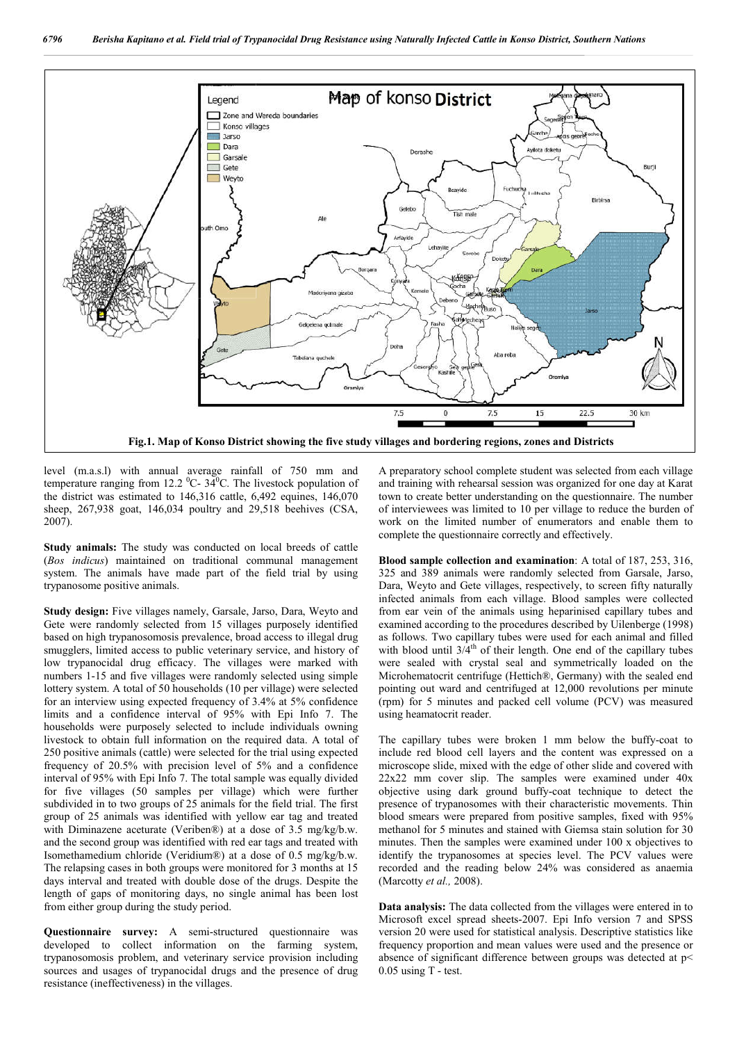

level (m.a.s.l) with annual average rainfall of 750 mm and temperature ranging from 12.2  $^0C-34^0C$ . The livestock population of the district was estimated to 146,316 cattle, 6,492 equines, 146,070 sheep, 267,938 goat, 146,034 poultry and 29,518 beehives (CSA, 2007).

**Study animals:** The study was conducted on local breeds of cattle (*Bos indicus*) maintained on traditional communal management system. The animals have made part of the field trial by using trypanosome positive animals.

**Study design:** Five villages namely, Garsale, Jarso, Dara, Weyto and Gete were randomly selected from 15 villages purposely identified based on high trypanosomosis prevalence, broad access to illegal drug smugglers, limited access to public veterinary service, and history of low trypanocidal drug efficacy. The villages were marked with numbers 1-15 and five villages were randomly selected using simple lottery system. A total of 50 households (10 per village) were selected for an interview using expected frequency of 3.4% at 5% confidence limits and a confidence interval of 95% with Epi Info 7. The households were purposely selected to include individuals owning livestock to obtain full information on the required data. A total of 250 positive animals (cattle) were selected for the trial using expected frequency of 20.5% with precision level of 5% and a confidence interval of 95% with Epi Info 7. The total sample was equally divided for five villages (50 samples per village) which were further subdivided in to two groups of 25 animals for the field trial. The first group of 25 animals was identified with yellow ear tag and treated with Diminazene aceturate (Veriben®) at a dose of 3.5 mg/kg/b.w. and the second group was identified with red ear tags and treated with Isomethamedium chloride (Veridium®) at a dose of 0.5 mg/kg/b.w. The relapsing cases in both groups were monitored for 3 months at 15 days interval and treated with double dose of the drugs. Despite the length of gaps of monitoring days, no single animal has been lost from either group during the study period.

**Questionnaire survey:** A semi-structured questionnaire was developed to collect information on the farming system, trypanosomosis problem, and veterinary service provision including sources and usages of trypanocidal drugs and the presence of drug resistance (ineffectiveness) in the villages.

A preparatory school complete student was selected from each village and training with rehearsal session was organized for one day at Karat town to create better understanding on the questionnaire. The number of interviewees was limited to 10 per village to reduce the burden of work on the limited number of enumerators and enable them to complete the questionnaire correctly and effectively.

**Blood sample collection and examination**: A total of 187, 253, 316, 325 and 389 animals were randomly selected from Garsale, Jarso, Dara, Weyto and Gete villages, respectively, to screen fifty naturally infected animals from each village. Blood samples were collected from ear vein of the animals using heparinised capillary tubes and examined according to the procedures described by Uilenberge (1998) as follows. Two capillary tubes were used for each animal and filled with blood until  $3/4^{th}$  of their length. One end of the capillary tubes were sealed with crystal seal and symmetrically loaded on the Microhematocrit centrifuge (Hettich®, Germany) with the sealed end pointing out ward and centrifuged at 12,000 revolutions per minute (rpm) for 5 minutes and packed cell volume (PCV) was measured using heamatocrit reader.

The capillary tubes were broken 1 mm below the buffy-coat to include red blood cell layers and the content was expressed on a microscope slide, mixed with the edge of other slide and covered with 22x22 mm cover slip. The samples were examined under 40x objective using dark ground buffy-coat technique to detect the presence of trypanosomes with their characteristic movements. Thin blood smears were prepared from positive samples, fixed with 95% methanol for 5 minutes and stained with Giemsa stain solution for 30 minutes. Then the samples were examined under 100 x objectives to identify the trypanosomes at species level. The PCV values were recorded and the reading below 24% was considered as anaemia (Marcotty *et al.,* 2008).

**Data analysis:** The data collected from the villages were entered in to Microsoft excel spread sheets-2007. Epi Info version 7 and SPSS version 20 were used for statistical analysis. Descriptive statistics like frequency proportion and mean values were used and the presence or absence of significant difference between groups was detected at p< 0.05 using T - test.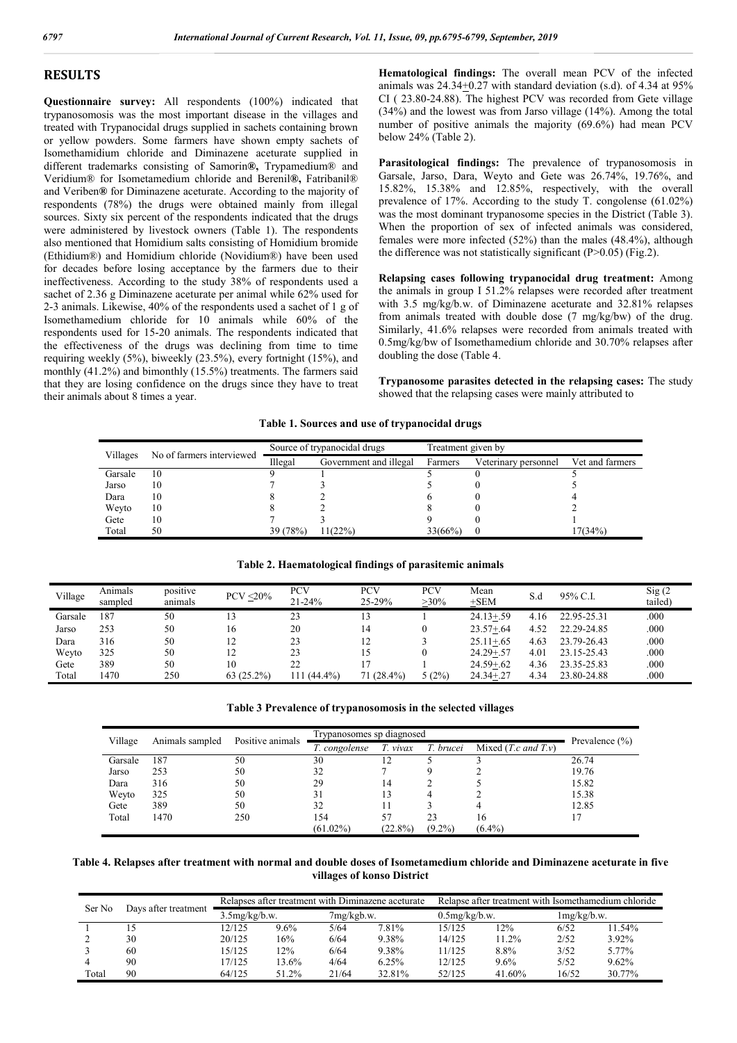### **RESULTS**

**Questionnaire survey:** All respondents (100%) indicated that trypanosomosis was the most important disease in the villages and treated with Trypanocidal drugs supplied in sachets containing brown or yellow powders. Some farmers have shown empty sachets of Isomethamidium chloride and Diminazene aceturate supplied in different trademarks consisting of Samorin**®,** Trypamedium® and Veridium® for Isometamedium chloride and Berenil**®,** Fatribanil® and Veriben**®** for Diminazene aceturate. According to the majority of respondents (78%) the drugs were obtained mainly from illegal sources. Sixty six percent of the respondents indicated that the drugs were administered by livestock owners (Table 1). The respondents also mentioned that Homidium salts consisting of Homidium bromide (Ethidium®) and Homidium chloride (Novidium®) have been used for decades before losing acceptance by the farmers due to their ineffectiveness. According to the study 38% of respondents used a sachet of 2.36 g Diminazene aceturate per animal while 62% used for 2-3 animals. Likewise, 40% of the respondents used a sachet of 1 g of Isomethamedium chloride for 10 animals while 60% of the respondents used for 15-20 animals. The respondents indicated that the effectiveness of the drugs was declining from time to time requiring weekly (5%), biweekly (23.5%), every fortnight (15%), and monthly (41.2%) and bimonthly (15.5%) treatments. The farmers said that they are losing confidence on the drugs since they have to treat their animals about 8 times a year.

**Hematological findings:** The overall mean PCV of the infected animals was  $24.34 \pm 0.27$  with standard deviation (s.d). of 4.34 at 95% CI ( 23.80-24.88). The highest PCV was recorded from Gete village (34%) and the lowest was from Jarso village (14%). Among the total number of positive animals the majority (69.6%) had mean PCV below 24% (Table 2).

Parasitological findings: The prevalence of trypanosomosis in Garsale, Jarso, Dara, Weyto and Gete was 26.74%, 19.76%, and 15.82%, 15.38% and 12.85%, respectively, with the overall prevalence of 17%. According to the study T. congolense (61.02%) was the most dominant trypanosome species in the District (Table 3). When the proportion of sex of infected animals was considered, females were more infected (52%) than the males (48.4%), although the difference was not statistically significant  $(P>0.05)$  (Fig.2).

**Relapsing cases following trypanocidal drug treatment:** Among the animals in group I 51.2% relapses were recorded after treatment with 3.5 mg/kg/b.w. of Diminazene aceturate and 32.81% relapses from animals treated with double dose (7 mg/kg/bw) of the drug. Similarly, 41.6% relapses were recorded from animals treated with 0.5mg/kg/bw of Isomethamedium chloride and 30.70% relapses after doubling the dose (Table 4.

**Trypanosome parasites detected in the relapsing cases:** The study showed that the relapsing cases were mainly attributed to

#### **Table 1. Sources and use of trypanocidal drugs**

| Villages | No of farmers interviewed |          | Source of trypanocidal drugs | Treatment given by |                      |                 |  |
|----------|---------------------------|----------|------------------------------|--------------------|----------------------|-----------------|--|
|          |                           | Illegal  | Government and illegal       | Farmers            | Veterinary personnel | Vet and farmers |  |
| Garsale  | 10                        |          |                              |                    |                      |                 |  |
| Jarso    | 10                        |          |                              |                    |                      |                 |  |
| Dara     | 10                        |          |                              |                    |                      |                 |  |
| Weyto    | 10                        |          |                              |                    |                      |                 |  |
| Gete     | 10                        |          |                              |                    |                      |                 |  |
| Total    | 50                        | 39 (78%) | 1(22%)                       | 33(66%)            | $\theta$             | 17(34%)         |  |

#### **Table 2. Haematological findings of parasitemic animals**

| Village | Animals<br>sampled | positive<br>animals | $PCV < 20\%$ | <b>PCV</b><br>$21 - 24%$ | <b>PCV</b><br>25-29% | PCV<br>$>30\%$ | Mean<br>$+$ SEM | S.d  | 95% C.I.    | Sig(2)<br>tailed) |
|---------|--------------------|---------------------|--------------|--------------------------|----------------------|----------------|-----------------|------|-------------|-------------------|
| Garsale | 187                | 50                  | 13           | 23                       |                      |                | $24.13 + 59$    | 4.16 | 22.95-25.31 | .000              |
| Jarso   | 253                | 50                  | 16           | 20                       | 14                   |                | $23.57 + .64$   | 4.52 | 22.29-24.85 | .000              |
| Dara    | 316                | 50                  | 12           | 23                       |                      |                | $25.11 + .65$   | 4.63 | 23.79-26.43 | .000              |
| Weyto   | 325                | 50                  | 12           | 23                       |                      |                | $24.29 + 57$    | 4.01 | 23.15-25.43 | .000              |
| Gete    | 389                | 50                  | 10           | 22                       |                      |                | $24.59 + 62$    | 4.36 | 23.35-25.83 | .000              |
| Total   | 1470               | 250                 | $63(25.2\%)$ | $(44.4\%)$<br>111        | 71 (28.4%)           | 5(2%)          | $24.34 + 27$    | 4.34 | 23.80-24.88 | .000              |

| Table 3 Prevalence of trypanosomosis in the selected villages |  |  |  |
|---------------------------------------------------------------|--|--|--|
|---------------------------------------------------------------|--|--|--|

| Village<br>Animals sampled |      | Positive animals | Trypanosomes sp diagnosed | Prevalence $(\% )$ |                          |           |       |
|----------------------------|------|------------------|---------------------------|--------------------|--------------------------|-----------|-------|
|                            |      | T. congolense    | T. vivax                  | T. brucei          | Mixed $(T.c$ and $T.v$ ) |           |       |
| Garsale                    | 187  | 50               | 30                        |                    |                          |           | 26.74 |
| Jarso                      | 253  | 50               | 32                        |                    |                          |           | 19.76 |
| Dara                       | 316  | 50               | 29                        | 14                 |                          |           | 15.82 |
| Weyto                      | 325  | 50               | 31                        | 13                 |                          |           | 15.38 |
| Gete                       | 389  | 50               | 32                        | 11                 |                          |           | 12.85 |
| Total                      | 1470 | 250              | 154                       | 57                 | 23                       | 16        |       |
|                            |      |                  | $(61.02\%)$               | $(22.8\%)$         | $(9.2\%)$                | $(6.4\%)$ |       |

**Table 4. Relapses after treatment with normal and double doses of Isometamedium chloride and Diminazene aceturate in five villages of konso District**

| Ser No<br>Days after treatment | Relapses after treatment with Diminazene aceturate |        |         |            | Relapse after treatment with Isomethamedium chloride |                  |        |             |        |
|--------------------------------|----------------------------------------------------|--------|---------|------------|------------------------------------------------------|------------------|--------|-------------|--------|
|                                | $3.5$ mg/kg/b.w.                                   |        |         | 7mg/kgb.w. |                                                      | $0.5$ mg/kg/b.w. |        | lmg/kg/b.w. |        |
|                                | 15                                                 | 12/125 | $9.6\%$ | 5/64       | 7.81%                                                | 15/125           | $2\%$  | 6/52        | 11.54% |
|                                | 30                                                 | 20/125 | 16%     | 6/64       | 9.38%                                                | 14/125           | 1.2%   | 2/52        | 3.92%  |
|                                | 60                                                 | 15/125 | 2%      | 6/64       | 9.38%                                                | 11/125           | 8.8%   | 3/52        | 5.77%  |
|                                | 90                                                 | 17/125 | 3.6%    | 4/64       | 6.25%                                                | 12/125           | 9.6%   | 5/52        | 9.62%  |
| Total                          | 90                                                 | 64/125 | 51.2%   | 21/64      | 32.81%                                               | 52/125           | 41.60% | 16/52       | 30 77% |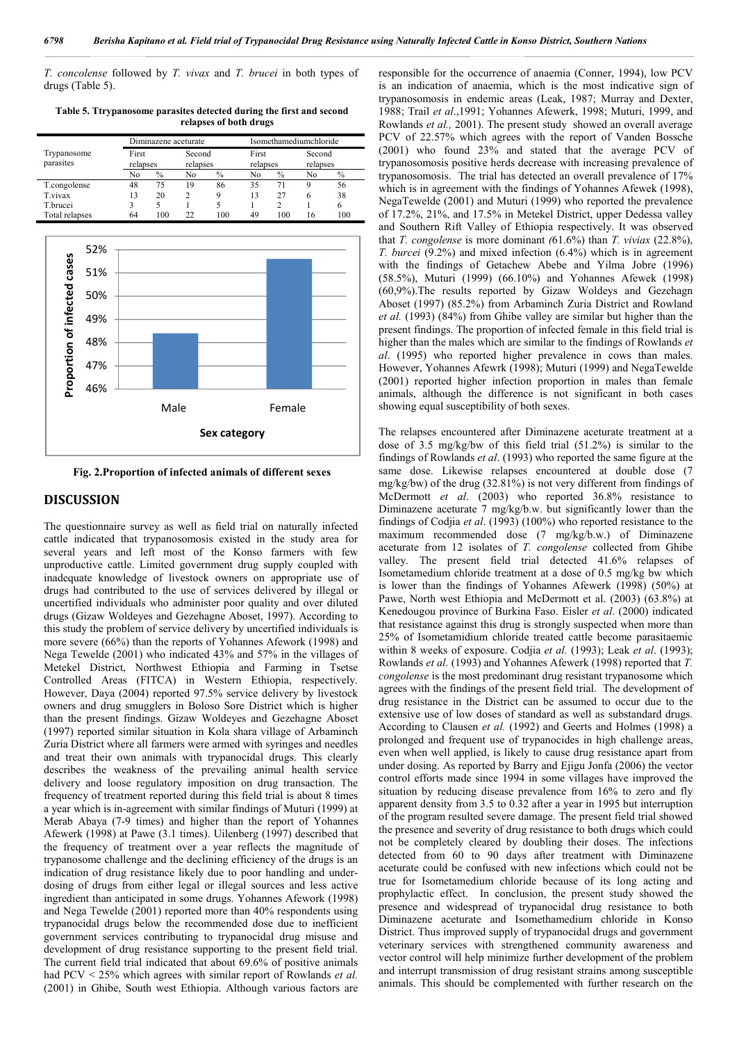*T. concolense* followed by *T. vivax* and *T. brucei* in both types of drugs (Table 5).

*Nationalities and Peoples Region, Ethiopia*

**Table 5. Ttrypanosome parasites detected during the first and second relapses of both drugs**

|                |          | Diminazene aceturate |          |      |          | Isomethamediumchloride |          |      |  |
|----------------|----------|----------------------|----------|------|----------|------------------------|----------|------|--|
| Trypanosome    | First    |                      | Second   |      | First    |                        | Second   |      |  |
| parasites      | relapses |                      | relapses |      | relapses |                        | relapses |      |  |
|                | No       | $\%$                 | No       | $\%$ | Nο       | $\%$                   | No       | $\%$ |  |
| T.congolense   | 48       | 75                   | 19       | 86   | 35       | 71                     |          | 56   |  |
| T vivax        | 13       | 20                   | 2        | q    | 13       | 27                     | 6        | 38   |  |
| T.brucei       |          |                      |          |      |          |                        |          |      |  |
| Total relapses | 64       | 100                  | າາ       | 100  | 49       | 100                    | 16       | 100  |  |



**Fig. 2.Proportion of infected animals of different sexes**

#### **DISCUSSION**

The questionnaire survey as well as field trial on naturally infected cattle indicated that trypanosomosis existed in the study area for several years and left most of the Konso farmers with few unproductive cattle. Limited government drug supply coupled with inadequate knowledge of livestock owners on appropriate use of drugs had contributed to the use of services delivered by illegal or uncertified individuals who administer poor quality and over diluted drugs (Gizaw Woldeyes and Gezehagne Aboset, 1997). According to this study the problem of service delivery by uncertified individuals is more severe (66%) than the reports of Yohannes Afework (1998) and Nega Tewelde (2001) who indicated 43% and 57% in the villages of Metekel District, Northwest Ethiopia and Farming in Tsetse Controlled Areas (FITCA) in Western Ethiopia, respectively. However, Daya (2004) reported 97.5% service delivery by livestock owners and drug smugglers in Boloso Sore District which is higher than the present findings. Gizaw Woldeyes and Gezehagne Aboset (1997) reported similar situation in Kola shara village of Arbaminch Zuria District where all farmers were armed with syringes and needles and treat their own animals with trypanocidal drugs. This clearly describes the weakness of the prevailing animal health service delivery and loose regulatory imposition on drug transaction. The frequency of treatment reported during this field trial is about 8 times a year which is in-agreement with similar findings of Muturi (1999) at Merab Abaya (7-9 times) and higher than the report of Yohannes Afewerk (1998) at Pawe (3.1 times). Uilenberg (1997) described that the frequency of treatment over a year reflects the magnitude of trypanosome challenge and the declining efficiency of the drugs is an indication of drug resistance likely due to poor handling and underdosing of drugs from either legal or illegal sources and less active ingredient than anticipated in some drugs. Yohannes Afework (1998) and Nega Tewelde (2001) reported more than 40% respondents using trypanocidal drugs below the recommended dose due to inefficient government services contributing to trypanocidal drug misuse and development of drug resistance supporting to the present field trial. The current field trial indicated that about 69.6% of positive animals had PCV < 25% which agrees with similar report of Rowlands *et al.* (2001) in Ghibe, South west Ethiopia. Although various factors are

responsible for the occurrence of anaemia (Conner, 1994), low PCV is an indication of anaemia, which is the most indicative sign of trypanosomosis in endemic areas (Leak, 1987; Murray and Dexter, 1988; Trail *et al*.,1991; Yohannes Afewerk, 1998; Muturi, 1999, and Rowlands *et al.,* 2001). The present study showed an overall average PCV of 22.57% which agrees with the report of Vanden Bossche (2001) who found 23% and stated that the average PCV of trypanosomosis positive herds decrease with increasing prevalence of trypanosomosis. The trial has detected an overall prevalence of 17% which is in agreement with the findings of Yohannes Afewek (1998), NegaTewelde (2001) and Muturi (1999) who reported the prevalence of 17.2%, 21%, and 17.5% in Metekel District, upper Dedessa valley and Southern Rift Valley of Ethiopia respectively. It was observed that *T. congolense* is more dominant *(*61.6%) than *T. viviax* (22.8%), *T. burcei* (9.2%) and mixed infection (6.4%) which is in agreement with the findings of Getachew Abebe and Yilma Jobre (1996) (58.5%), Muturi (1999) (66.10%) and Yohannes Afewek (1998) (60,9%).The results reported by Gizaw Woldeys and Gezehagn Aboset (1997) (85.2%) from Arbaminch Zuria District and Rowland *et al.* (1993) (84%) from Ghibe valley are similar but higher than the present findings. The proportion of infected female in this field trial is higher than the males which are similar to the findings of Rowlands *et al*. (1995) who reported higher prevalence in cows than males. However, Yohannes Afewrk (1998); Muturi (1999) and NegaTewelde (2001) reported higher infection proportion in males than female animals, although the difference is not significant in both cases showing equal susceptibility of both sexes.

The relapses encountered after Diminazene aceturate treatment at a dose of 3.5 mg/kg/bw of this field trial (51.2%) is similar to the findings of Rowlands *et al*. (1993) who reported the same figure at the same dose. Likewise relapses encountered at double dose (7 mg/kg/bw) of the drug (32.81%) is not very different from findings of McDermott *et al*. (2003) who reported 36.8% resistance to Diminazene aceturate 7 mg/kg/b.w. but significantly lower than the findings of Codjia *et al*. (1993) (100%) who reported resistance to the maximum recommended dose (7 mg/kg/b.w.) of Diminazene aceturate from 12 isolates of *T. congolense* collected from Ghibe valley. The present field trial detected 41.6% relapses of Isometamedium chloride treatment at a dose of 0.5 mg/kg bw which is lower than the findings of Yohannes Afewerk (1998) (50%) at Pawe, North west Ethiopia and McDermott et al. (2003) (63.8%) at Kenedougou province of Burkina Faso. Eisler *et al*. (2000) indicated that resistance against this drug is strongly suspected when more than 25% of Isometamidium chloride treated cattle become parasitaemic within 8 weeks of exposure. Codjia *et al.* (1993); Leak *et al*. (1993); Rowlands *et al*. (1993) and Yohannes Afewerk (1998) reported that *T. congolense* is the most predominant drug resistant trypanosome which agrees with the findings of the present field trial. The development of drug resistance in the District can be assumed to occur due to the extensive use of low doses of standard as well as substandard drugs. According to Clausen *et al.* (1992) and Geerts and Holmes (1998) a prolonged and frequent use of trypanocides in high challenge areas, even when well applied, is likely to cause drug resistance apart from under dosing. As reported by Barry and Ejigu Jonfa (2006) the vector control efforts made since 1994 in some villages have improved the situation by reducing disease prevalence from 16% to zero and fly apparent density from 3.5 to 0.32 after a year in 1995 but interruption of the program resulted severe damage. The present field trial showed the presence and severity of drug resistance to both drugs which could not be completely cleared by doubling their doses. The infections detected from 60 to 90 days after treatment with Diminazene aceturate could be confused with new infections which could not be true for Isometamedium chloride because of its long acting and prophylactic effect. In conclusion, the present study showed the presence and widespread of trypanocidal drug resistance to both Diminazene aceturate and Isomethamedium chloride in Konso District. Thus improved supply of trypanocidal drugs and government veterinary services with strengthened community awareness and vector control will help minimize further development of the problem and interrupt transmission of drug resistant strains among susceptible animals. This should be complemented with further research on the